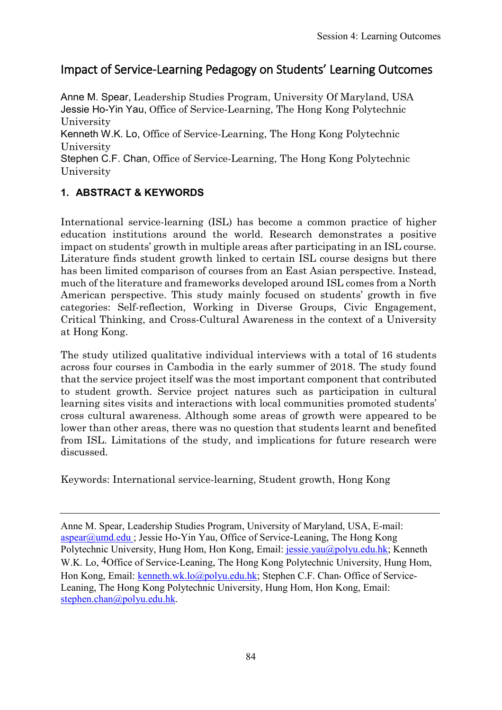# Impact of Service-Learning Pedagogy on Students' Learning Outcomes

Anne M. Spear, Leadership Studies Program, University Of Maryland, USA Jessie Ho-Yin Yau, Office of Service-Learning, The Hong Kong Polytechnic University

Kenneth W.K. Lo, Office of Service-Learning, The Hong Kong Polytechnic University

Stephen C.F. Chan, Office of Service-Learning, The Hong Kong Polytechnic University

# **1. ABSTRACT & KEYWORDS**

International service-learning (ISL) has become a common practice of higher education institutions around the world. Research demonstrates a positive impact on students' growth in multiple areas after participating in an ISL course. Literature finds student growth linked to certain ISL course designs but there has been limited comparison of courses from an East Asian perspective. Instead, much of the literature and frameworks developed around ISL comes from a North American perspective. This study mainly focused on students' growth in five categories: Self-reflection, Working in Diverse Groups, Civic Engagement, Critical Thinking, and Cross-Cultural Awareness in the context of a University at Hong Kong.

The study utilized qualitative individual interviews with a total of 16 students across four courses in Cambodia in the early summer of 2018. The study found that the service project itself was the most important component that contributed to student growth. Service project natures such as participation in cultural learning sites visits and interactions with local communities promoted students' cross cultural awareness. Although some areas of growth were appeared to be lower than other areas, there was no question that students learnt and benefited from ISL. Limitations of the study, and implications for future research were discussed.

Keywords: International service-learning, Student growth, Hong Kong

Anne M. Spear, Leadership Studies Program, University of Maryland, USA, E-mail: [aspear@umd.edu ;](mailto:aspear@umd.edu) Jessie Ho-Yin Yau, Office of Service-Leaning, The Hong Kong Polytechnic University, Hung Hom, Hon Kong, Email: [jessie.yau@polyu.edu.hk;](mailto:jessie.yau@polyu.edu.hk) Kenneth W.K. Lo, 4Office of Service-Leaning, The Hong Kong Polytechnic University, Hung Hom, Hon Kong, Email: [kenneth.wk.lo@polyu.edu.hk;](mailto:kenneth.wk.lo@polyu.edu.hk) Stephen C.F. Chan, Office of Service-Leaning, The Hong Kong Polytechnic University, Hung Hom, Hon Kong, Email: [stephen.chan@polyu.edu.hk.](mailto:stephen.chan@polyu.edu.hk)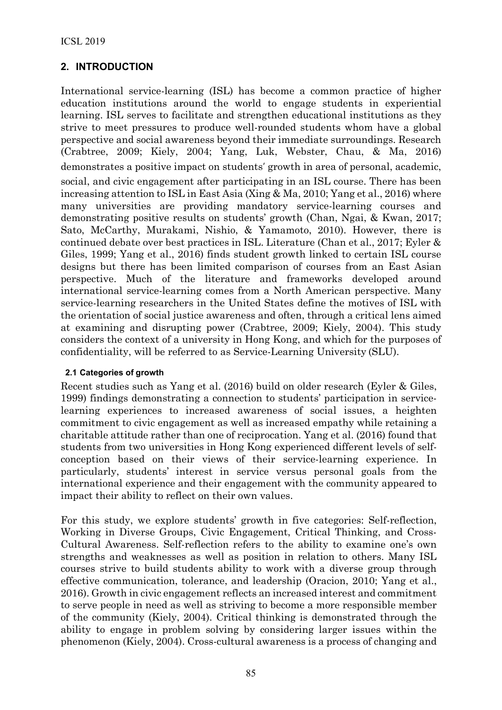## **2. INTRODUCTION**

International service-learning (ISL) has become a common practice of higher education institutions around the world to engage students in experiential learning. ISL serves to facilitate and strengthen educational institutions as they strive to meet pressures to produce well-rounded students whom have a global perspective and social awareness beyond their immediate surroundings. Research (Crabtree, 2009; Kiely, 2004; Yang, Luk, Webster, Chau, & Ma, 2016) demonstrates a positive impact on students' growth in area of personal, academic, social, and civic engagement after participating in an ISL course. There has been increasing attention to ISL in East Asia (Xing & Ma, 2010; Yang et al., 2016) where many universities are providing mandatory service-learning courses and demonstrating positive results on students' growth (Chan, Ngai, & Kwan, 2017; Sato, McCarthy, Murakami, Nishio, & Yamamoto, 2010). However, there is continued debate over best practices in ISL. Literature (Chan et al., 2017; Eyler & Giles, 1999; Yang et al., 2016) finds student growth linked to certain ISL course designs but there has been limited comparison of courses from an East Asian perspective. Much of the literature and frameworks developed around international service-learning comes from a North American perspective. Many service-learning researchers in the United States define the motives of ISL with the orientation of social justice awareness and often, through a critical lens aimed at examining and disrupting power (Crabtree, 2009; Kiely, 2004). This study considers the context of a university in Hong Kong, and which for the purposes of confidentiality, will be referred to as Service-Learning University (SLU).

#### **2.1 Categories of growth**

Recent studies such as Yang et al. (2016) build on older research (Eyler & Giles, 1999) findings demonstrating a connection to students' participation in servicelearning experiences to increased awareness of social issues, a heighten commitment to civic engagement as well as increased empathy while retaining a charitable attitude rather than one of reciprocation. Yang et al. (2016) found that students from two universities in Hong Kong experienced different levels of selfconception based on their views of their service-learning experience. In particularly, students' interest in service versus personal goals from the international experience and their engagement with the community appeared to impact their ability to reflect on their own values.

For this study, we explore students' growth in five categories: Self-reflection, Working in Diverse Groups, Civic Engagement, Critical Thinking, and Cross-Cultural Awareness. Self-reflection refers to the ability to examine one's own strengths and weaknesses as well as position in relation to others. Many ISL courses strive to build students ability to work with a diverse group through effective communication, tolerance, and leadership (Oracion, 2010; Yang et al., 2016). Growth in civic engagement reflects an increased interest and commitment to serve people in need as well as striving to become a more responsible member of the community (Kiely, 2004). Critical thinking is demonstrated through the ability to engage in problem solving by considering larger issues within the phenomenon (Kiely, 2004). Cross-cultural awareness is a process of changing and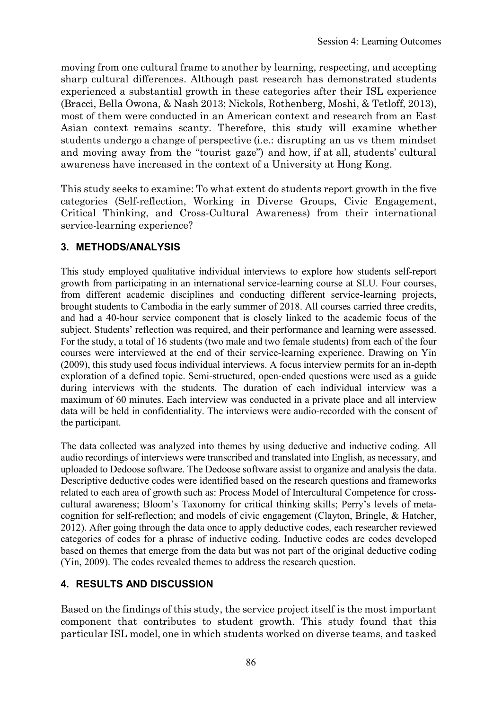moving from one cultural frame to another by learning, respecting, and accepting sharp cultural differences. Although past research has demonstrated students experienced a substantial growth in these categories after their ISL experience (Bracci, Bella Owona, & Nash 2013; Nickols, Rothenberg, Moshi, & Tetloff, 2013), most of them were conducted in an American context and research from an East Asian context remains scanty. Therefore, this study will examine whether students undergo a change of perspective (i.e.: disrupting an us vs them mindset and moving away from the "tourist gaze") and how, if at all, students' cultural awareness have increased in the context of a University at Hong Kong.

This study seeks to examine: To what extent do students report growth in the five categories (Self-reflection, Working in Diverse Groups, Civic Engagement, Critical Thinking, and Cross-Cultural Awareness) from their international service-learning experience?

### **3. METHODS/ANALYSIS**

This study employed qualitative individual interviews to explore how students self-report growth from participating in an international service-learning course at SLU. Four courses, from different academic disciplines and conducting different service-learning projects, brought students to Cambodia in the early summer of 2018. All courses carried three credits, and had a 40-hour service component that is closely linked to the academic focus of the subject. Students' reflection was required, and their performance and learning were assessed. For the study, a total of 16 students (two male and two female students) from each of the four courses were interviewed at the end of their service-learning experience. Drawing on Yin (2009), this study used focus individual interviews. A focus interview permits for an in-depth exploration of a defined topic. Semi-structured, open-ended questions were used as a guide during interviews with the students. The duration of each individual interview was a maximum of 60 minutes. Each interview was conducted in a private place and all interview data will be held in confidentiality. The interviews were audio-recorded with the consent of the participant.

The data collected was analyzed into themes by using deductive and inductive coding. All audio recordings of interviews were transcribed and translated into English, as necessary, and uploaded to Dedoose software. The Dedoose software assist to organize and analysis the data. Descriptive deductive codes were identified based on the research questions and frameworks related to each area of growth such as: Process Model of Intercultural Competence for crosscultural awareness; Bloom's Taxonomy for critical thinking skills; Perry's levels of metacognition for self-reflection; and models of civic engagement (Clayton, Bringle, & Hatcher, 2012). After going through the data once to apply deductive codes, each researcher reviewed categories of codes for a phrase of inductive coding. Inductive codes are codes developed based on themes that emerge from the data but was not part of the original deductive coding (Yin, 2009). The codes revealed themes to address the research question.

### **4. RESULTS AND DISCUSSION**

Based on the findings of this study, the service project itself is the most important component that contributes to student growth. This study found that this particular ISL model, one in which students worked on diverse teams, and tasked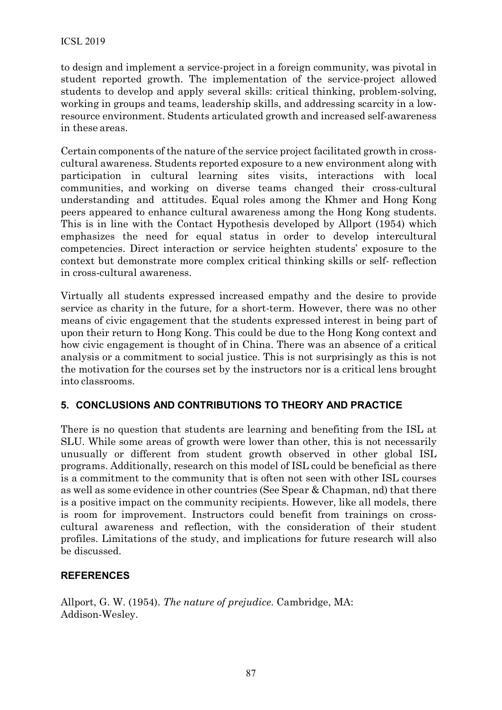to design and implement a service-project in a foreign community, was pivotal in student reported growth. The implementation of the service-project allowed students to develop and apply several skills: critical thinking, problem-solving, working in groups and teams, leadership skills, and addressing scarcity in a lowresource environment. Students articulated growth and increased self-awareness in these areas.

Certain components of the nature of the service project facilitated growth in crosscultural awareness. Students reported exposure to a new environment along with participation in cultural learning sites visits, interactions with local communities, and working on diverse teams changed their cross-cultural understanding and attitudes. Equal roles among the Khmer and Hong Kong peers appeared to enhance cultural awareness among the Hong Kong students. This is in line with the Contact Hypothesis developed by Allport (1954) which emphasizes the need for equal status in order to develop intercultural competencies. Direct interaction or service heighten students' exposure to the context but demonstrate more complex critical thinking skills or self- reflection in cross-cultural awareness.

Virtually all students expressed increased empathy and the desire to provide service as charity in the future, for a short-term. However, there was no other means of civic engagement that the students expressed interest in being part of upon their return to Hong Kong. This could be due to the Hong Kong context and how civic engagement is thought of in China. There was an absence of a critical analysis or a commitment to social justice. This is not surprisingly as this is not the motivation for the courses set by the instructors nor is a critical lens brought into classrooms.

### **5. CONCLUSIONS AND CONTRIBUTIONS TO THEORY AND PRACTICE**

There is no question that students are learning and benefiting from the ISL at SLU. While some areas of growth were lower than other, this is not necessarily unusually or different from student growth observed in other global ISL programs. Additionally, research on this model of ISL could be beneficial as there is a commitment to the community that is often not seen with other ISL courses as well as some evidence in other countries (See Spear & Chapman, nd) that there is a positive impact on the community recipients. However, like all models, there is room for improvement. Instructors could benefit from trainings on crosscultural awareness and reflection, with the consideration of their student profiles. Limitations of the study, and implications for future research will also be discussed.

#### **REFERENCES**

Allport, G. W. (1954). *The nature of prejudice*. Cambridge, MA: Addison-Wesley.